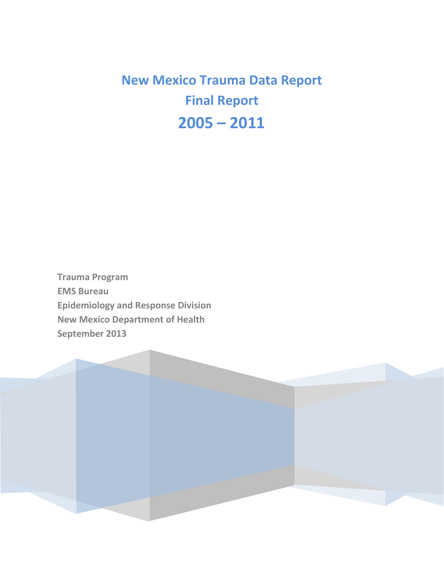**New Mexico Trauma Data Report Final Report 2005 – 2011**

**Trauma Program EMS Bureau Epidemiology and Response Division New Mexico Department of Health September 2013**

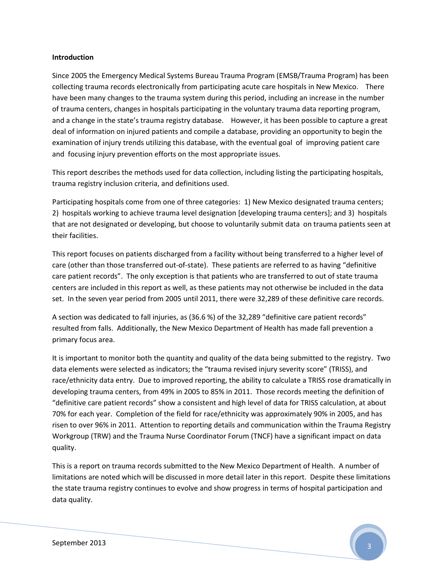#### **Introduction**

Since 2005 the Emergency Medical Systems Bureau Trauma Program (EMSB/Trauma Program) has been collecting trauma records electronically from participating acute care hospitals in New Mexico. There have been many changes to the trauma system during this period, including an increase in the number of trauma centers, changes in hospitals participating in the voluntary trauma data reporting program, and a change in the state's trauma registry database. However, it has been possible to capture a great deal of information on injured patients and compile a database, providing an opportunity to begin the examination of injury trends utilizing this database, with the eventual goal of improving patient care and focusing injury prevention efforts on the most appropriate issues.

This report describes the methods used for data collection, including listing the participating hospitals, trauma registry inclusion criteria, and definitions used.

Participating hospitals come from one of three categories: 1) New Mexico designated trauma centers; 2) hospitals working to achieve trauma level designation [developing trauma centers]; and 3) hospitals that are not designated or developing, but choose to voluntarily submit data on trauma patients seen at their facilities.

This report focuses on patients discharged from a facility without being transferred to a higher level of care (other than those transferred out-of-state). These patients are referred to as having "definitive care patient records". The only exception is that patients who are transferred to out of state trauma centers are included in this report as well, as these patients may not otherwise be included in the data set. In the seven year period from 2005 until 2011, there were 32,289 of these definitive care records.

A section was dedicated to fall injuries, as (36.6 %) of the 32,289 "definitive care patient records" resulted from falls. Additionally, the New Mexico Department of Health has made fall prevention a primary focus area.

It is important to monitor both the quantity and quality of the data being submitted to the registry. Two data elements were selected as indicators; the "trauma revised injury severity score" (TRISS), and race/ethnicity data entry. Due to improved reporting, the ability to calculate a TRISS rose dramatically in developing trauma centers, from 49% in 2005 to 85% in 2011. Those records meeting the definition of "definitive care patient records" show a consistent and high level of data for TRISS calculation, at about 70% for each year. Completion of the field for race/ethnicity was approximately 90% in 2005, and has risen to over 96% in 2011. Attention to reporting details and communication within the Trauma Registry Workgroup (TRW) and the Trauma Nurse Coordinator Forum (TNCF) have a significant impact on data quality.

This is a report on trauma records submitted to the New Mexico Department of Health. A number of limitations are noted which will be discussed in more detail later in this report. Despite these limitations the state trauma registry continues to evolve and show progress in terms of hospital participation and data quality.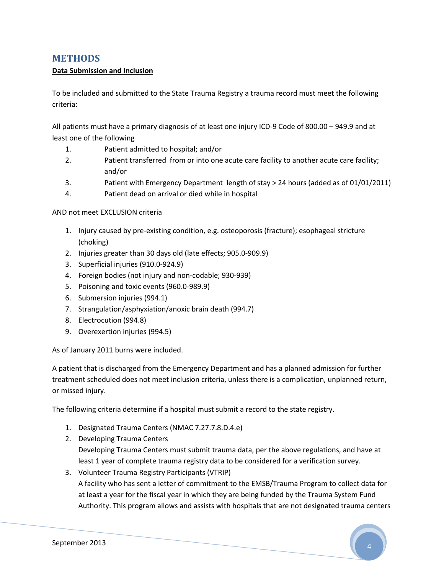## **METHODS**

#### **Data Submission and Inclusion**

To be included and submitted to the State Trauma Registry a trauma record must meet the following criteria:

All patients must have a primary diagnosis of at least one injury ICD-9 Code of 800.00 – 949.9 and at least one of the following

- 1. Patient admitted to hospital; and/or
- 2. Patient transferred from or into one acute care facility to another acute care facility; and/or
- 3. Patient with Emergency Department length of stay > 24 hours (added as of 01/01/2011)
- 4. Patient dead on arrival or died while in hospital

#### AND not meet EXCLUSION criteria

- 1. Injury caused by pre-existing condition, e.g. osteoporosis (fracture); esophageal stricture (choking)
- 2. Injuries greater than 30 days old (late effects; 905.0-909.9)
- 3. Superficial injuries (910.0-924.9)
- 4. Foreign bodies (not injury and non-codable; 930-939)
- 5. Poisoning and toxic events (960.0-989.9)
- 6. Submersion injuries (994.1)
- 7. Strangulation/asphyxiation/anoxic brain death (994.7)
- 8. Electrocution (994.8)
- 9. Overexertion injuries (994.5)

As of January 2011 burns were included.

A patient that is discharged from the Emergency Department and has a planned admission for further treatment scheduled does not meet inclusion criteria, unless there is a complication, unplanned return, or missed injury.

The following criteria determine if a hospital must submit a record to the state registry.

- 1. Designated Trauma Centers (NMAC 7.27.7.8.D.4.e)
- 2. Developing Trauma Centers

Developing Trauma Centers must submit trauma data, per the above regulations, and have at least 1 year of complete trauma registry data to be considered for a verification survey.

3. Volunteer Trauma Registry Participants (VTRIP) A facility who has sent a letter of commitment to the EMSB/Trauma Program to collect data for at least a year for the fiscal year in which they are being funded by the Trauma System Fund Authority. This program allows and assists with hospitals that are not designated trauma centers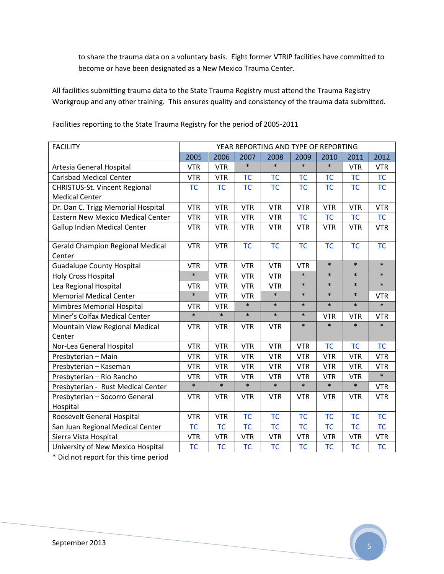to share the trauma data on a voluntary basis. Eight former VTRIP facilities have committed to become or have been designated as a New Mexico Trauma Center.

All facilities submitting trauma data to the State Trauma Registry must attend the Trauma Registry Workgroup and any other training. This ensures quality and consistency of the trauma data submitted.

| <b>FACILITY</b>                            |            |            |            | YEAR REPORTING AND TYPE OF REPORTING |            |            |            |            |
|--------------------------------------------|------------|------------|------------|--------------------------------------|------------|------------|------------|------------|
|                                            | 2005       | 2006       | 2007       | 2008                                 | 2009       | 2010       | 2011       | 2012       |
| Artesia General Hospital                   | <b>VTR</b> | <b>VTR</b> | $\ast$     | $\ast$                               | $\ast$     | $\ast$     | <b>VTR</b> | <b>VTR</b> |
| <b>Carlsbad Medical Center</b>             | <b>VTR</b> | <b>VTR</b> | <b>TC</b>  | <b>TC</b>                            | <b>TC</b>  | <b>TC</b>  | <b>TC</b>  | <b>TC</b>  |
| <b>CHRISTUS-St. Vincent Regional</b>       | <b>TC</b>  | <b>TC</b>  | <b>TC</b>  | <b>TC</b>                            | <b>TC</b>  | <b>TC</b>  | <b>TC</b>  | <b>TC</b>  |
| <b>Medical Center</b>                      |            |            |            |                                      |            |            |            |            |
| Dr. Dan C. Trigg Memorial Hospital         | <b>VTR</b> | <b>VTR</b> | <b>VTR</b> | <b>VTR</b>                           | <b>VTR</b> | <b>VTR</b> | <b>VTR</b> | <b>VTR</b> |
| <b>Eastern New Mexico Medical Center</b>   | <b>VTR</b> | <b>VTR</b> | <b>VTR</b> | <b>VTR</b>                           | <b>TC</b>  | <b>TC</b>  | <b>TC</b>  | <b>TC</b>  |
| <b>Gallup Indian Medical Center</b>        | <b>VTR</b> | <b>VTR</b> | <b>VTR</b> | <b>VTR</b>                           | <b>VTR</b> | <b>VTR</b> | <b>VTR</b> | <b>VTR</b> |
| <b>Gerald Champion Regional Medical</b>    | <b>VTR</b> | <b>VTR</b> | <b>TC</b>  | <b>TC</b>                            | <b>TC</b>  | <b>TC</b>  | <b>TC</b>  | <b>TC</b>  |
| Center<br><b>Guadalupe County Hospital</b> | <b>VTR</b> | <b>VTR</b> | <b>VTR</b> | <b>VTR</b>                           | <b>VTR</b> | $\ast$     | $\ast$     | $\ast$     |
| <b>Holy Cross Hospital</b>                 | $\ast$     | <b>VTR</b> | <b>VTR</b> | <b>VTR</b>                           | $\ast$     | $\ast$     | $\ast$     | $\ast$     |
| Lea Regional Hospital                      | <b>VTR</b> | <b>VTR</b> | <b>VTR</b> | <b>VTR</b>                           | $\ast$     | $\ast$     | $\ast$     | $\ast$     |
| <b>Memorial Medical Center</b>             | $\ast$     | <b>VTR</b> | <b>VTR</b> | $\ast$                               | $\ast$     | $\ast$     | $\ast$     | <b>VTR</b> |
| Mimbres Memorial Hospital                  | <b>VTR</b> | <b>VTR</b> | $\ast$     | $\ast$                               | $\ast$     | $\ast$     | $\ast$     | $\ast$     |
| Miner's Colfax Medical Center              | $\ast$     | $\ast$     | $\ast$     | $\ast$                               | $\ast$     | <b>VTR</b> | <b>VTR</b> | <b>VTR</b> |
| Mountain View Regional Medical             | <b>VTR</b> | <b>VTR</b> | <b>VTR</b> | <b>VTR</b>                           | $\ast$     | $\ast$     | $\ast$     | $\ast$     |
| Center                                     |            |            |            |                                      |            |            |            |            |
| Nor-Lea General Hospital                   | <b>VTR</b> | <b>VTR</b> | <b>VTR</b> | <b>VTR</b>                           | <b>VTR</b> | <b>TC</b>  | TC         | <b>TC</b>  |
| Presbyterian - Main                        | <b>VTR</b> | <b>VTR</b> | <b>VTR</b> | <b>VTR</b>                           | <b>VTR</b> | <b>VTR</b> | <b>VTR</b> | <b>VTR</b> |
| Presbyterian - Kaseman                     | <b>VTR</b> | <b>VTR</b> | <b>VTR</b> | <b>VTR</b>                           | <b>VTR</b> | <b>VTR</b> | <b>VTR</b> | <b>VTR</b> |
| Presbyterian - Rio Rancho                  | <b>VTR</b> | <b>VTR</b> | <b>VTR</b> | <b>VTR</b>                           | <b>VTR</b> | <b>VTR</b> | <b>VTR</b> | $\ast$     |
| Presbyterian - Rust Medical Center         | $\ast$     | $\ast$     | $\ast$     | $\ast$                               | $\ast$     | $\ast$     | $\ast$     | <b>VTR</b> |
| Presbyterian - Socorro General             | <b>VTR</b> | <b>VTR</b> | <b>VTR</b> | <b>VTR</b>                           | <b>VTR</b> | <b>VTR</b> | <b>VTR</b> | <b>VTR</b> |
| Hospital                                   |            |            |            |                                      |            |            |            |            |
| Roosevelt General Hospital                 | <b>VTR</b> | <b>VTR</b> | <b>TC</b>  | <b>TC</b>                            | <b>TC</b>  | <b>TC</b>  | <b>TC</b>  | <b>TC</b>  |
| San Juan Regional Medical Center           | <b>TC</b>  | <b>TC</b>  | <b>TC</b>  | <b>TC</b>                            | <b>TC</b>  | <b>TC</b>  | <b>TC</b>  | <b>TC</b>  |
| Sierra Vista Hospital                      | <b>VTR</b> | <b>VTR</b> | <b>VTR</b> | <b>VTR</b>                           | <b>VTR</b> | <b>VTR</b> | <b>VTR</b> | <b>VTR</b> |
| University of New Mexico Hospital          | <b>TC</b>  | <b>TC</b>  | <b>TC</b>  | <b>TC</b>                            | <b>TC</b>  | <b>TC</b>  | <b>TC</b>  | <b>TC</b>  |

Facilities reporting to the State Trauma Registry for the period of 2005-2011

\* Did not report for this time period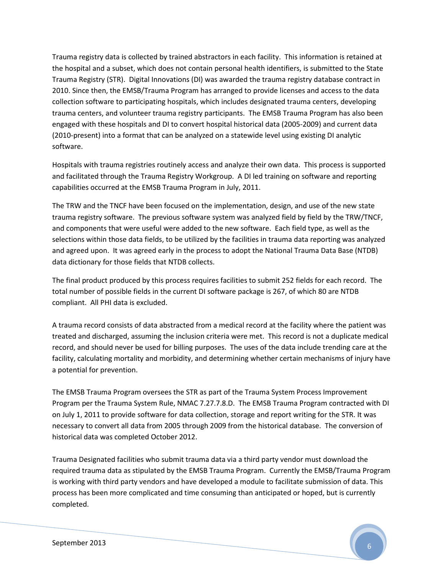Trauma registry data is collected by trained abstractors in each facility. This information is retained at the hospital and a subset, which does not contain personal health identifiers, is submitted to the State Trauma Registry (STR). Digital Innovations (DI) was awarded the trauma registry database contract in 2010. Since then, the EMSB/Trauma Program has arranged to provide licenses and access to the data collection software to participating hospitals, which includes designated trauma centers, developing trauma centers, and volunteer trauma registry participants. The EMSB Trauma Program has also been engaged with these hospitals and DI to convert hospital historical data (2005-2009) and current data (2010-present) into a format that can be analyzed on a statewide level using existing DI analytic software.

Hospitals with trauma registries routinely access and analyze their own data. This process is supported and facilitated through the Trauma Registry Workgroup. A DI led training on software and reporting capabilities occurred at the EMSB Trauma Program in July, 2011.

The TRW and the TNCF have been focused on the implementation, design, and use of the new state trauma registry software. The previous software system was analyzed field by field by the TRW/TNCF, and components that were useful were added to the new software. Each field type, as well as the selections within those data fields, to be utilized by the facilities in trauma data reporting was analyzed and agreed upon. It was agreed early in the process to adopt the National Trauma Data Base (NTDB) data dictionary for those fields that NTDB collects.

The final product produced by this process requires facilities to submit 252 fields for each record. The total number of possible fields in the current DI software package is 267, of which 80 are NTDB compliant. All PHI data is excluded.

A trauma record consists of data abstracted from a medical record at the facility where the patient was treated and discharged, assuming the inclusion criteria were met. This record is not a duplicate medical record, and should never be used for billing purposes. The uses of the data include trending care at the facility, calculating mortality and morbidity, and determining whether certain mechanisms of injury have a potential for prevention.

The EMSB Trauma Program oversees the STR as part of the Trauma System Process Improvement Program per the Trauma System Rule, NMAC 7.27.7.8.D. The EMSB Trauma Program contracted with DI on July 1, 2011 to provide software for data collection, storage and report writing for the STR. It was necessary to convert all data from 2005 through 2009 from the historical database. The conversion of historical data was completed October 2012.

Trauma Designated facilities who submit trauma data via a third party vendor must download the required trauma data as stipulated by the EMSB Trauma Program. Currently the EMSB/Trauma Program is working with third party vendors and have developed a module to facilitate submission of data. This process has been more complicated and time consuming than anticipated or hoped, but is currently completed.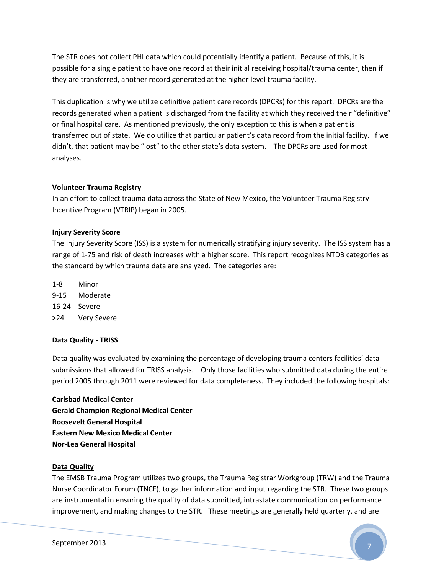The STR does not collect PHI data which could potentially identify a patient. Because of this, it is possible for a single patient to have one record at their initial receiving hospital/trauma center, then if they are transferred, another record generated at the higher level trauma facility.

This duplication is why we utilize definitive patient care records (DPCRs) for this report. DPCRs are the records generated when a patient is discharged from the facility at which they received their "definitive" or final hospital care. As mentioned previously, the only exception to this is when a patient is transferred out of state. We do utilize that particular patient's data record from the initial facility. If we didn't, that patient may be "lost" to the other state's data system. The DPCRs are used for most analyses.

#### **Volunteer Trauma Registry**

In an effort to collect trauma data across the State of New Mexico, the Volunteer Trauma Registry Incentive Program (VTRIP) began in 2005.

#### **Injury Severity Score**

The Injury Severity Score (ISS) is a system for numerically stratifying injury severity. The ISS system has a range of 1-75 and risk of death increases with a higher score. This report recognizes NTDB categories as the standard by which trauma data are analyzed. The categories are:

- 1-8 Minor
- 9-15 Moderate
- 16-24 Severe
- >24 Very Severe

#### **Data Quality - TRISS**

Data quality was evaluated by examining the percentage of developing trauma centers facilities' data submissions that allowed for TRISS analysis. Only those facilities who submitted data during the entire period 2005 through 2011 were reviewed for data completeness. They included the following hospitals:

**Carlsbad Medical Center Gerald Champion Regional Medical Center Roosevelt General Hospital Eastern New Mexico Medical Center Nor-Lea General Hospital**

#### **Data Quality**

The EMSB Trauma Program utilizes two groups, the Trauma Registrar Workgroup (TRW) and the Trauma Nurse Coordinator Forum (TNCF), to gather information and input regarding the STR. These two groups are instrumental in ensuring the quality of data submitted, intrastate communication on performance improvement, and making changes to the STR. These meetings are generally held quarterly, and are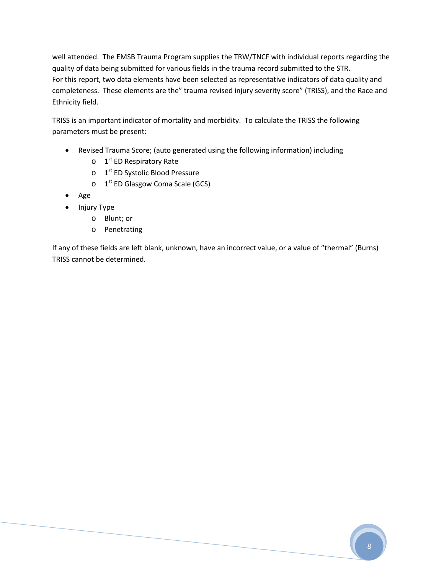well attended. The EMSB Trauma Program supplies the TRW/TNCF with individual reports regarding the quality of data being submitted for various fields in the trauma record submitted to the STR. For this report, two data elements have been selected as representative indicators of data quality and completeness. These elements are the" trauma revised injury severity score" (TRISS), and the Race and Ethnicity field.

TRISS is an important indicator of mortality and morbidity. To calculate the TRISS the following parameters must be present:

- Revised Trauma Score; (auto generated using the following information) including
	- o 1<sup>st</sup> ED Respiratory Rate
	- o 1<sup>st</sup> ED Systolic Blood Pressure
	- o 1<sup>st</sup> ED Glasgow Coma Scale (GCS)
- Age
- Injury Type
	- o Blunt; or
	- o Penetrating

If any of these fields are left blank, unknown, have an incorrect value, or a value of "thermal" (Burns) TRISS cannot be determined.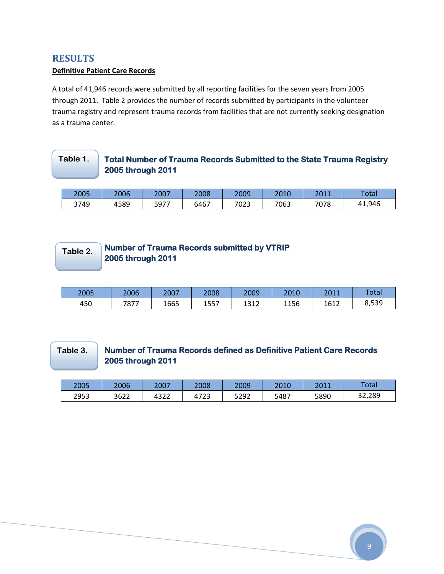## **RESULTS**

#### **Definitive Patient Care Records**

A total of 41,946 records were submitted by all reporting facilities for the seven years from 2005 through 2011. Table 2 provides the number of records submitted by participants in the volunteer trauma registry and represent trauma records from facilities that are not currently seeking designation as a trauma center.

#### **Total Number of Trauma Records Submitted to the State Trauma Registry 2005 through 2011 Table 1.**

| 2005 | 2006 | 2007 | 2008 | 2009 | 2010 | 2044<br>∠∪⊥⊥ | <b>Total</b>      |
|------|------|------|------|------|------|--------------|-------------------|
| 3749 | 4589 | 5977 | 6467 | 7023 | 7063 | 7078         | 41,946<br>44<br>4 |

## **Table 2.**

## **Number of Trauma Records submitted by VTRIP 2005 through 2011**

| 2005 | 2006 | 2007 | 2008 | 2009         | 2010 | 3011<br>40 I J | Total |
|------|------|------|------|--------------|------|----------------|-------|
| 450  | 7877 | 1665 | 1557 | 1212<br>ᅩJエム | 1156 | 1612<br>10 T Z | 8,539 |

## **Table 3.**

## **Number of Trauma Records defined as Definitive Patient Care Records 2005 through 2011**

| 2005 | 2006 | ד∩∩ר<br>ZUU. | 2008                | 2009 | 2010 | 2011<br>ZUII | Total         |
|------|------|--------------|---------------------|------|------|--------------|---------------|
| 2953 | 3622 | 4322         | $472^{\circ}$<br>43 | 5292 | 5487 | 5890         | 32,289<br>ົາລ |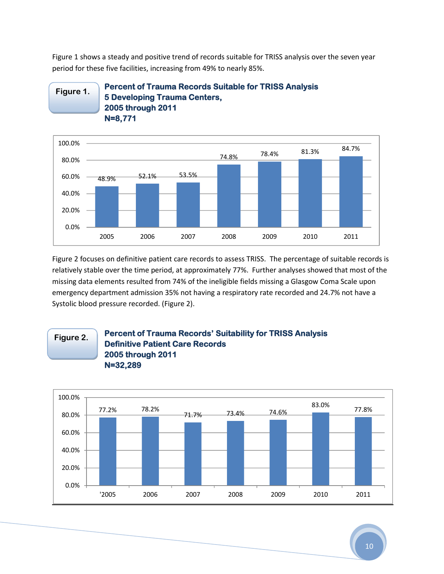Figure 1 shows a steady and positive trend of records suitable for TRISS analysis over the seven year period for these five facilities, increasing from 49% to nearly 85%.

#### **Percent of Trauma Records Suitable for TRISS Analysis 5 Developing Trauma Centers, 2005 through 2011 N=8,771 Figure 1.**



Figure 2 focuses on definitive patient care records to assess TRISS. The percentage of suitable records is relatively stable over the time period, at approximately 77%. Further analyses showed that most of the missing data elements resulted from 74% of the ineligible fields missing a Glasgow Coma Scale upon emergency department admission 35% not having a respiratory rate recorded and 24.7% not have a Systolic blood pressure recorded. (Figure 2).

## **Figure 2.**

#### **Percent of Trauma Records' Suitability for TRISS Analysis Definitive Patient Care Records 2005 through 2011 N=32,289**

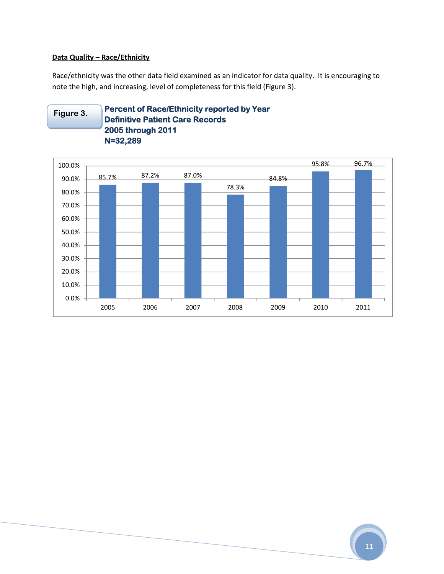#### **Data Quality – Race/Ethnicity**

Race/ethnicity was the other data field examined as an indicator for data quality. It is encouraging to note the high, and increasing, level of completeness for this field (Figure 3).

**Percent of Race/Ethnicity reported by Year Definitive Patient Care Records 2005 through 2011 N=32,289 Figure 3.**

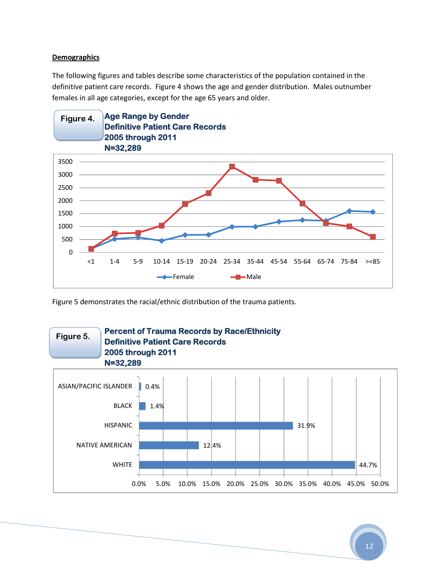#### **Demographics**

The following figures and tables describe some characteristics of the population contained in the definitive patient care records. Figure 4 shows the age and gender distribution. Males outnumber females in all age categories, except for the age 65 years and older.



Figure 5 demonstrates the racial/ethnic distribution of the trauma patients.

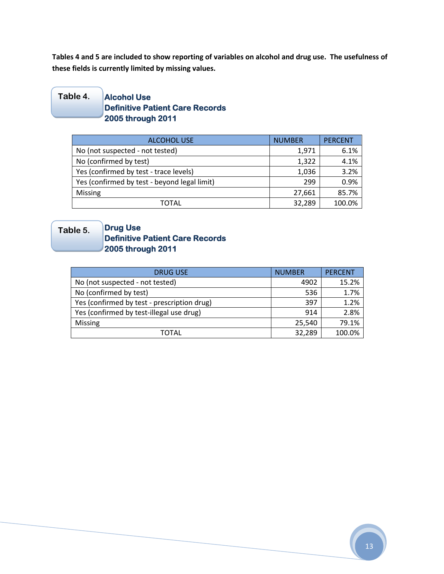**Tables 4 and 5 are included to show reporting of variables on alcohol and drug use. The usefulness of these fields is currently limited by missing values.**

#### **Alcohol Use Definitive Patient Care Records 2005 through 2011 Table 4.**

| <b>ALCOHOL USE</b>                           | <b>NUMBER</b> | <b>PERCENT</b> |
|----------------------------------------------|---------------|----------------|
| No (not suspected - not tested)              | 1,971         | 6.1%           |
| No (confirmed by test)                       | 1,322         | 4.1%           |
| Yes (confirmed by test - trace levels)       | 1,036         | 3.2%           |
| Yes (confirmed by test - beyond legal limit) | 299           | 0.9%           |
| Missing                                      | 27,661        | 85.7%          |
| TOTAL                                        | 32,289        | 100.0%         |

## **Table 5.**

## **Drug Use Definitive Patient Care Records 2005 through 2011**

| <b>DRUG USE</b>                             | <b>NUMBER</b> | <b>PERCENT</b> |
|---------------------------------------------|---------------|----------------|
| No (not suspected - not tested)             | 4902          | 15.2%          |
| No (confirmed by test)                      | 536           | 1.7%           |
| Yes (confirmed by test - prescription drug) | 397           | 1.2%           |
| Yes (confirmed by test-illegal use drug)    | 914           | 2.8%           |
| <b>Missing</b>                              | 25,540        | 79.1%          |
| TOTAL                                       | 32,289        | 100.0%         |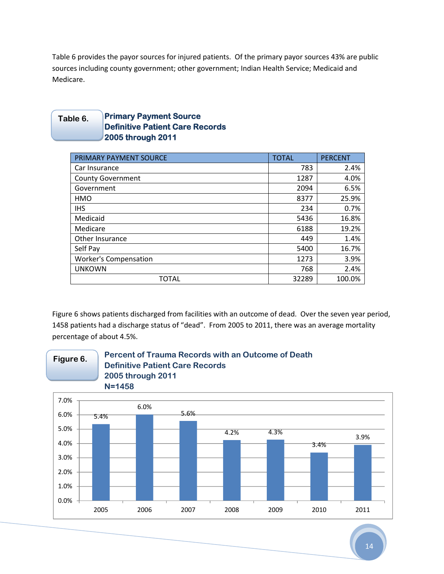Table 6 provides the payor sources for injured patients. Of the primary payor sources 43% are public sources including county government; other government; Indian Health Service; Medicaid and Medicare.

#### **Primary Payment Source Definitive Patient Care Records 2005 through 2011 Table 6.**

| PRIMARY PAYMENT SOURCE       | <b>TOTAL</b> | <b>PERCENT</b> |
|------------------------------|--------------|----------------|
| Car Insurance                | 783          | 2.4%           |
| <b>County Government</b>     | 1287         | 4.0%           |
| Government                   | 2094         | 6.5%           |
| <b>HMO</b>                   | 8377         | 25.9%          |
| <b>IHS</b>                   | 234          | 0.7%           |
| Medicaid                     | 5436         | 16.8%          |
| Medicare                     | 6188         | 19.2%          |
| <b>Other Insurance</b>       | 449          | 1.4%           |
| Self Pay                     | 5400         | 16.7%          |
| <b>Worker's Compensation</b> | 1273         | 3.9%           |
| <b>UNKOWN</b>                | 768          | 2.4%           |
| <b>TOTAL</b>                 | 32289        | 100.0%         |

Figure 6 shows patients discharged from facilities with an outcome of dead. Over the seven year period, 1458 patients had a discharge status of "dead". From 2005 to 2011, there was an average mortality percentage of about 4.5%.



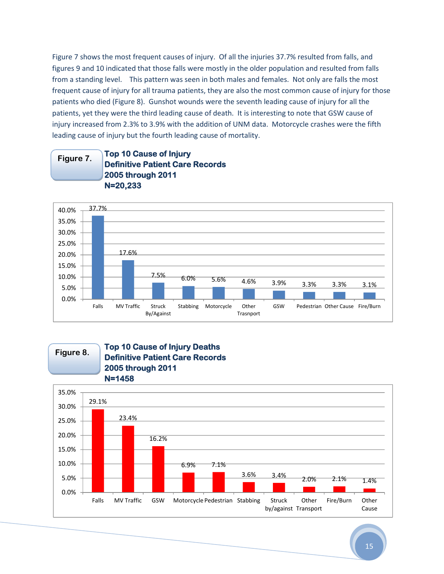Figure 7 shows the most frequent causes of injury. Of all the injuries 37.7% resulted from falls, and figures 9 and 10 indicated that those falls were mostly in the older population and resulted from falls from a standing level. This pattern was seen in both males and females. Not only are falls the most frequent cause of injury for all trauma patients, they are also the most common cause of injury for those patients who died (Figure 8). Gunshot wounds were the seventh leading cause of injury for all the patients, yet they were the third leading cause of death. It is interesting to note that GSW cause of injury increased from 2.3% to 3.9% with the addition of UNM data. Motorcycle crashes were the fifth leading cause of injury but the fourth leading cause of mortality.

#### **Top 10 Cause of Injury Definitive Patient Care Records 2005 through 2011 N=20,233 Figure 7.**



**Figure 8.**

## **Top 10 Cause of Injury Deaths Definitive Patient Care Records 2005 through 2011 N=1458**

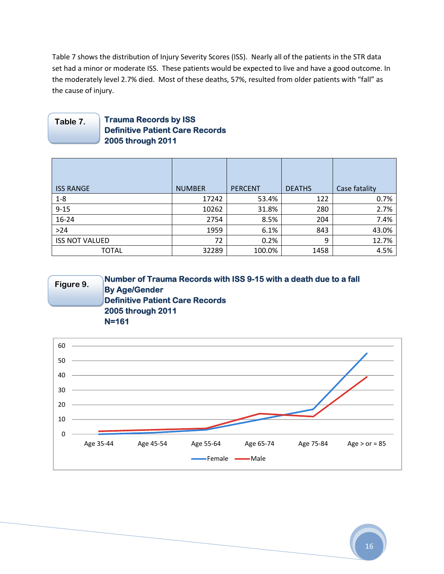Table 7 shows the distribution of Injury Severity Scores (ISS). Nearly all of the patients in the STR data set had a minor or moderate ISS. These patients would be expected to live and have a good outcome. In the moderately level 2.7% died. Most of these deaths, 57%, resulted from older patients with "fall" as the cause of injury.

#### **Trauma Records by ISS Definitive Patient Care Records 2005 through 2011 Table 7.**

| <b>ISS RANGE</b>      | <b>NUMBER</b> | <b>PERCENT</b> | <b>DEATHS</b> | Case fatality |
|-----------------------|---------------|----------------|---------------|---------------|
| $1 - 8$               | 17242         | 53.4%          | 122           | 0.7%          |
| $9 - 15$              | 10262         | 31.8%          | 280           | 2.7%          |
| 16-24                 | 2754          | 8.5%           | 204           | 7.4%          |
| $>24$                 | 1959          | 6.1%           | 843           | 43.0%         |
| <b>ISS NOT VALUED</b> | 72            | 0.2%           | 9             | 12.7%         |
| <b>TOTAL</b>          | 32289         | 100.0%         | 1458          | 4.5%          |

#### **Number of Trauma Records with ISS 9-15 with a death due to a fall By Age/Gender Definitive Patient Care Records 2005 through 2011 N=161 Figure 9.**

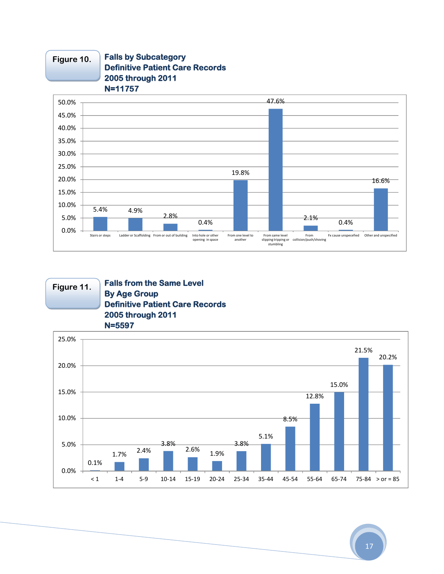

## **Figure 10.**

**Falls by Subcategory Definitive Patient Care Records 2005 through 2011**

#### **Figure 11.**

#### **Falls from the Same Level By Age Group Definitive Patient Care Records 2005 through 2011 N=5597**

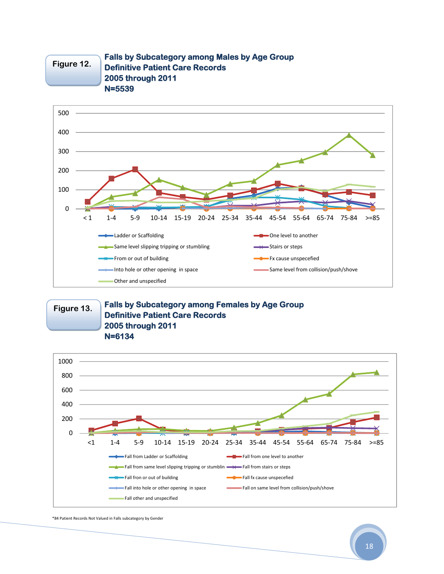

#### **Falls by Subcategory among Males by Age Group Definitive Patient Care Records 2005 through 2011 N=5539**



**Figure 13.**

#### **Falls by Subcategory among Females by Age Group Definitive Patient Care Records 2005 through 2011 N=6134**



\*84 Patient Records Not Valued in Falls subcategory by Gender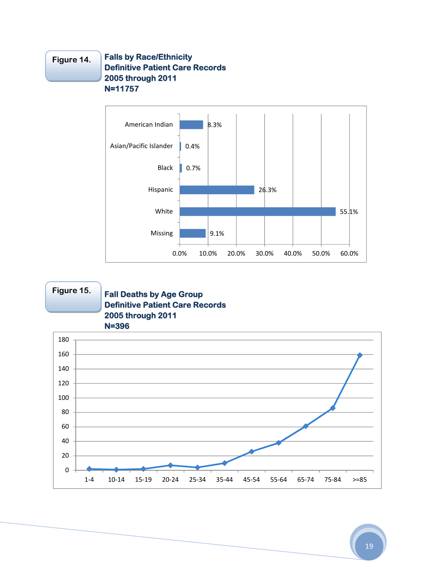#### **Falls by Race/Ethnicity Definitive Patient Care Records 2005 through 2011 N=11757 Figure 14.**



## **Figure 15.**

## **Fall Deaths by Age Group Definitive Patient Care Records 2005 through 2011 N=396**

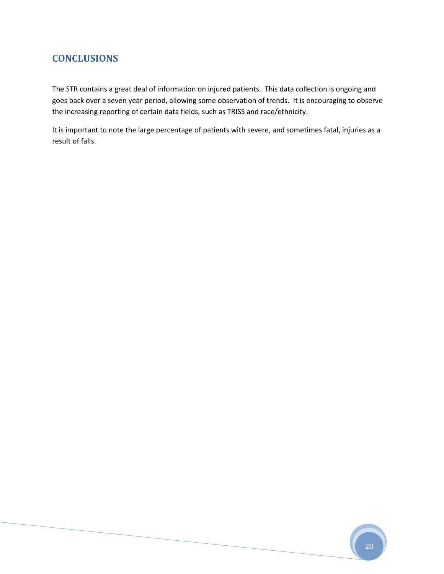## **CONCLUSIONS**

The STR contains a great deal of information on injured patients. This data collection is ongoing and goes back over a seven year period, allowing some observation of trends. It is encouraging to observe the increasing reporting of certain data fields, such as TRISS and race/ethnicity.

It is important to note the large percentage of patients with severe, and sometimes fatal, injuries as a result of falls.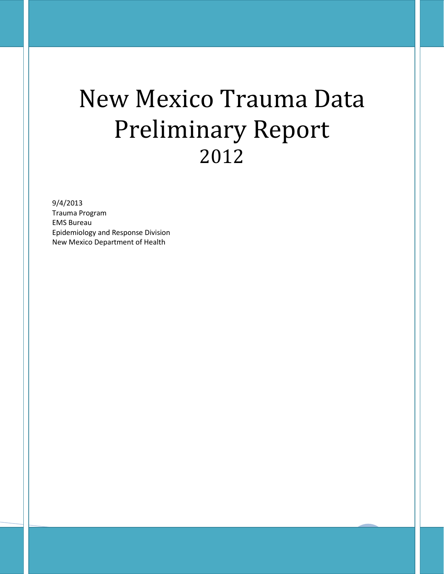# New Mexico Trauma Data Preliminary Report 2012

9/4/2013

Trauma Program EMS Bureau Epidemiology and Response Division New Mexico Department of Health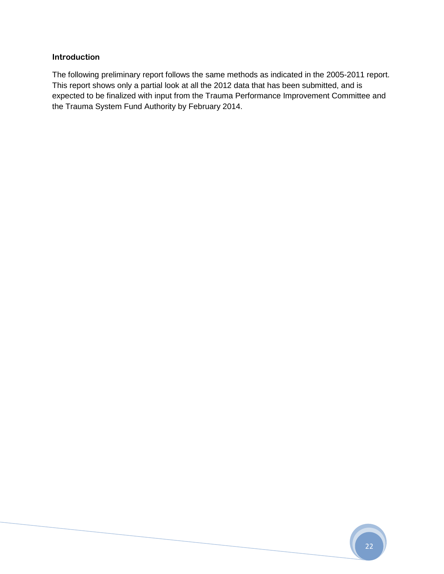## **Introduction**

The following preliminary report follows the same methods as indicated in the 2005-2011 report. This report shows only a partial look at all the 2012 data that has been submitted, and is expected to be finalized with input from the Trauma Performance Improvement Committee and the Trauma System Fund Authority by February 2014.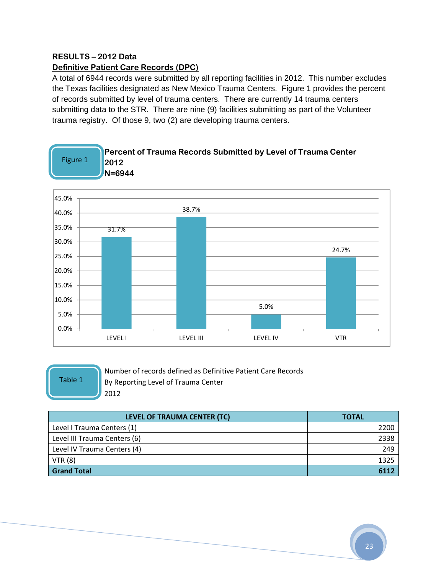## **RESULTS – 2012 Data Definitive Patient Care Records (DPC)**

A total of 6944 records were submitted by all reporting facilities in 2012. This number excludes the Texas facilities designated as New Mexico Trauma Centers. Figure 1 provides the percent of records submitted by level of trauma centers. There are currently 14 trauma centers submitting data to the STR. There are nine (9) facilities submitting as part of the Volunteer trauma registry. Of those 9, two (2) are developing trauma centers.



Table 1

Number of records defined as Definitive Patient Care Records By Reporting Level of Trauma Center 2012

| LEVEL OF TRAUMA CENTER (TC)  | <b>TOTAL</b> |
|------------------------------|--------------|
| Level I Trauma Centers (1)   | 2200         |
| Level III Trauma Centers (6) | 2338         |
| Level IV Trauma Centers (4)  | 249          |
| VTR(8)                       | 1325         |
| <b>Grand Total</b>           |              |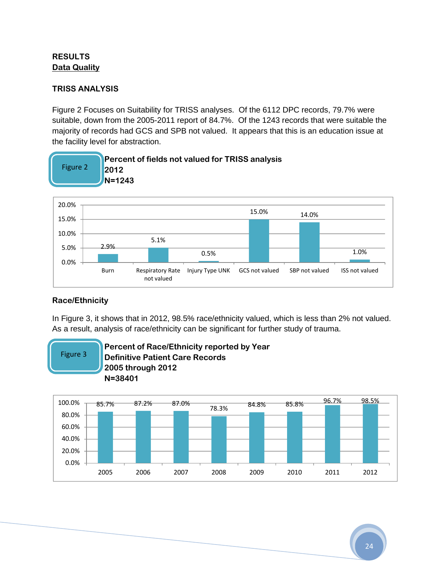## **RESULTS Data Quality**

## **TRISS ANALYSIS**

Figure 2 Focuses on Suitability for TRISS analyses. Of the 6112 DPC records, 79.7% were suitable, down from the 2005-2011 report of 84.7%. Of the 1243 records that were suitable the majority of records had GCS and SPB not valued. It appears that this is an education issue at the facility level for abstraction.



## **Race/Ethnicity**

In Figure 3, it shows that in 2012, 98.5% race/ethnicity valued, which is less than 2% not valued. As a result, analysis of race/ethnicity can be significant for further study of trauma.



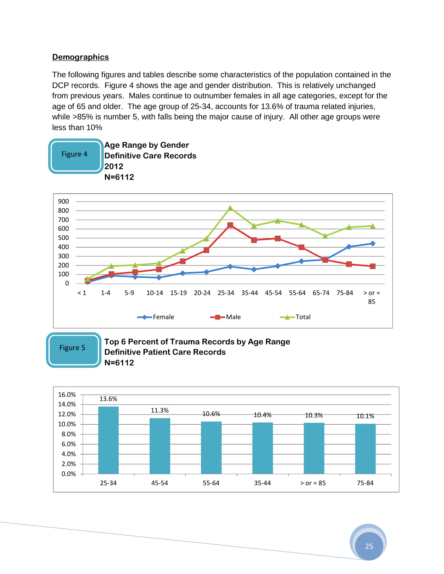## **Demographics**

The following figures and tables describe some characteristics of the population contained in the DCP records. Figure 4 shows the age and gender distribution. This is relatively unchanged from previous years. Males continue to outnumber females in all age categories, except for the age of 65 and older. The age group of 25-34, accounts for 13.6% of trauma related injuries, while >85% is number 5, with falls being the major cause of injury. All other age groups were less than 10%



Figure 5

#### **Top 6 Percent of Trauma Records by Age Range Definitive Patient Care Records N=6112**

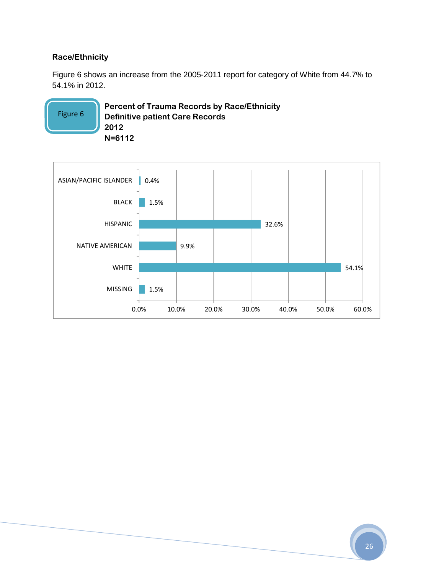## **Race/Ethnicity**

Figure 6 shows an increase from the 2005-2011 report for category of White from 44.7% to 54.1% in 2012.

**Percent of Trauma Records by Race/Ethnicity Definitive patient Care Records 2012 N=6112** Figure 6

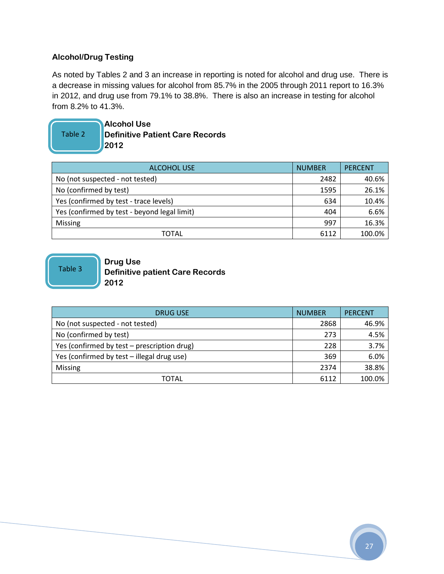## **Alcohol/Drug Testing**

As noted by Tables 2 and 3 an increase in reporting is noted for alcohol and drug use. There is a decrease in missing values for alcohol from 85.7% in the 2005 through 2011 report to 16.3% in 2012, and drug use from 79.1% to 38.8%. There is also an increase in testing for alcohol from 8.2% to 41.3%.

# Table 2

**Alcohol Use Definitive Patient Care Records 2012**

| <b>ALCOHOL USE</b>                           | <b>NUMBER</b> | <b>PERCENT</b> |
|----------------------------------------------|---------------|----------------|
| No (not suspected - not tested)              | 2482          | 40.6%          |
| No (confirmed by test)                       | 1595          | 26.1%          |
| Yes (confirmed by test - trace levels)       | 634           | 10.4%          |
| Yes (confirmed by test - beyond legal limit) | 404           | 6.6%           |
| <b>Missing</b>                               | 997           | 16.3%          |
| TOTAL                                        | 6112          | 100.0%         |

Table 3

#### **Drug Use Definitive patient Care Records 2012**

| <b>DRUG USE</b>                             | <b>NUMBER</b> | <b>PERCENT</b> |
|---------------------------------------------|---------------|----------------|
| No (not suspected - not tested)             | 2868          | 46.9%          |
| No (confirmed by test)                      | 273           | 4.5%           |
| Yes (confirmed by test - prescription drug) | 228           | 3.7%           |
| Yes (confirmed by test - illegal drug use)  | 369           | 6.0%           |
| <b>Missing</b>                              | 2374          | 38.8%          |
| <b>TOTAL</b>                                | 6112          | 100.0%         |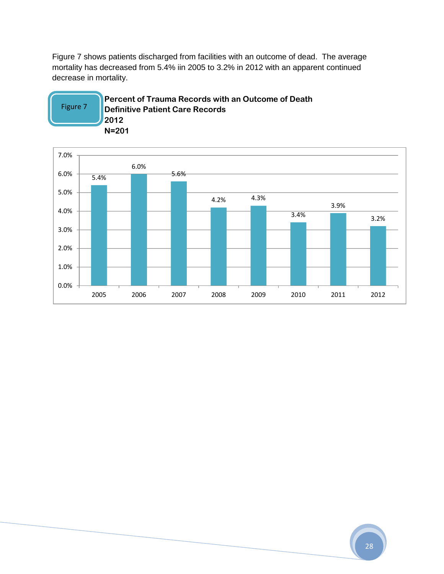Figure 7 shows patients discharged from facilities with an outcome of dead. The average mortality has decreased from 5.4% iin 2005 to 3.2% in 2012 with an apparent continued decrease in mortality.



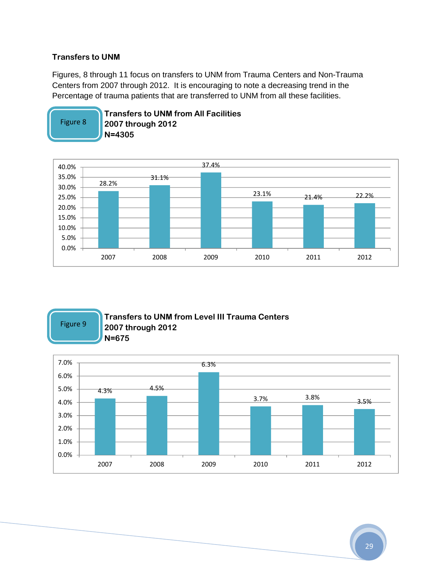## **Transfers to UNM**

Figures, 8 through 11 focus on transfers to UNM from Trauma Centers and Non-Trauma Centers from 2007 through 2012. It is encouraging to note a decreasing trend in the Percentage of trauma patients that are transferred to UNM from all these facilities.

**Transfers to UNM from All Facilities**



Figure 9

### **Transfers to UNM from Level III Trauma Centers 2007 through 2012 N=675**

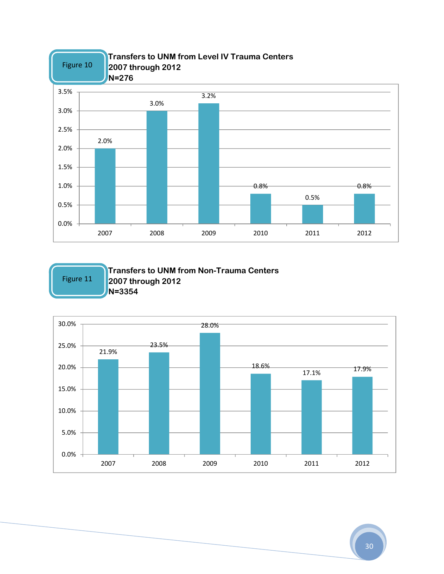

Figure 11

**Transfers to UNM from Non-Trauma Centers 2007 through 2012 N=3354**